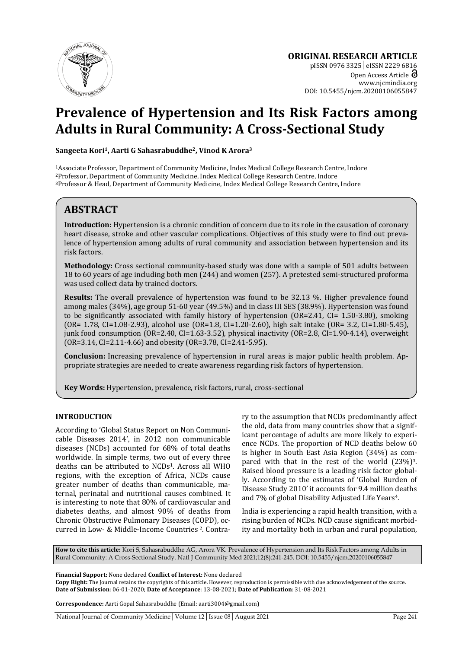

**ORIGINAL RESEARCH ARTICLE**  pISSN 0976 3325│eISSN 2229 6816 Open Access Article  $\partial$ www.njcmindia.org DOI: 10.5455/njcm.20200106055847

# **Prevalence of Hypertension and Its Risk Factors among Adults in Rural Community: A Cross-Sectional Study**

**Sangeeta Kori1, Aarti G Sahasrabuddhe2, Vinod K Arora3**

<sup>1</sup> Associate Professor, Department of Community Medicine, Index Medical College Research Centre, Indore <sup>2</sup> Professor, Department of Community Medicine, Index Medical College Research Centre, Indore <sup>2</sup> Professor & Head,

# **ABSTRACT**

**Introduction:** Hypertension is a chronic condition of concern due to its role in the causation of coronary heart disease, stroke and other vascular complications. Objectives of this study were to find out prevalence of hypertension among adults of rural community and association between hypertension and its risk factors.

**Methodology:** Cross sectional community-based study was done with a sample of 501 adults between 18 to 60 years of age including both men (244) and women (257). A pretested semi-structured proforma was used collect data by trained doctors.

**Results:** The overall prevalence of hypertension was found to be 32.13 %. Higher prevalence found among males (34%), age group 51-60 year (49.5%) and in class III SES (38.9%). Hypertension was found to be significantly associated with family history of hypertension (OR=2.41, CI= 1.50-3.80), smoking (OR= 1.78, CI=1.08-2.93), alcohol use (OR=1.8, CI=1.20-2.60), high salt intake (OR= 3.2, CI=1.80-5.45), junk food consumption (OR=2.40, CI=1.63-3.52), physical inactivity (OR=2.8, CI=1.90-4.14), overweight (OR=3.14, CI=2.11-4.66) and obesity (OR=3.78, CI=2.41-5.95).

**Conclusion:** Increasing prevalence of hypertension in rural areas is major public health problem. Appropriate strategies are needed to create awareness regarding risk factors of hypertension.

**Key Words:** Hypertension, prevalence, risk factors, rural, cross-sectional

## **INTRODUCTION**

According to 'Global Status Report on Non Communicable Diseases 2014', in 2012 non communicable diseases (NCDs) accounted for 68% of total deaths worldwide. In simple terms, two out of every three deaths can be attributed to NCDs1. Across all WHO regions, with the exception of Africa, NCDs cause greater number of deaths than communicable, maternal, perinatal and nutritional causes combined. It is interesting to note that 80% of cardiovascular and diabetes deaths, and almost 90% of deaths from Chronic Obstructive Pulmonary Diseases (COPD), occurred in Low- & Middle-Income Countries 2. Contrary to the assumption that NCDs predominantly affect the old, data from many countries show that a significant percentage of adults are more likely to experience NCDs. The proportion of NCD deaths below 60 is higher in South East Asia Region (34%) as compared with that in the rest of the world (23%)3. Raised blood pressure is a leading risk factor globally. According to the estimates of 'Global Burden of Disease Study 2010' it accounts for 9.4 million deaths and 7% of global Disability Adjusted Life Years4.

India is experiencing a rapid health transition, with a rising burden of NCDs. NCD cause significant morbidity and mortality both in urban and rural population,

**How to cite this article:** Kori S, Sahasrabuddhe AG, Arora VK. Prevalence of Hypertension and Its Risk Factors among Adults in Rural Community: A Cross-Sectional Study. Natl J Community Med 2021;12(8):241-245. DOI: 10.5455/njcm.20200106055847

**Financial Support:** None declared **Conflict of Interest:** None declared

**Copy Right:** The Journal retains the copyrights of this article. However, reproduction is permissible with due acknowledgement of the source. **Date of Submission**: 06-01-2020; **Date of Acceptance**: 13-08-2021; **Date of Publication**: 31-08-2021

**Correspondence:** Aarti Gopal Sahasrabuddhe (Email: aarti3004@gmail.com)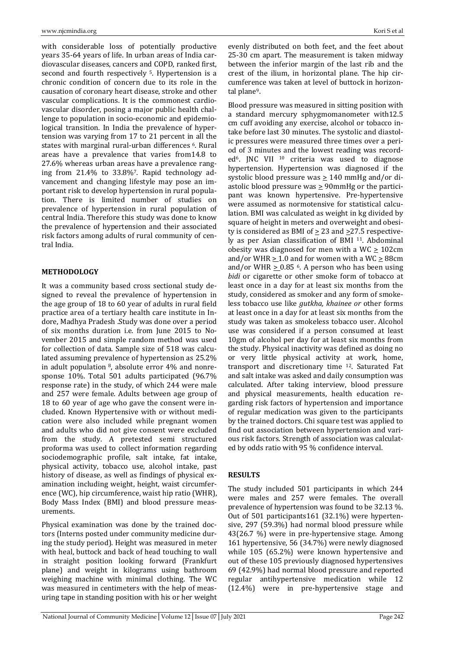with considerable loss of potentially productive years 35-64 years of life. In urban areas of India cardiovascular diseases, cancers and COPD, ranked first, second and fourth respectively <sup>5</sup>. Hypertension is a chronic condition of concern due to its role in the causation of coronary heart disease, stroke and other vascular complications. It is the commonest cardiovascular disorder, posing a major public health challenge to population in socio-economic and epidemiological transition. In India the prevalence of hypertension was varying from 17 to 21 percent in all the states with marginal rural-urban differences <sup>6</sup>. Rural areas have a prevalence that varies from14.8 to 27.6% whereas urban areas have a prevalence ranging from 21.4% to 33.8%7. Rapid technology advancement and changing lifestyle may pose an important risk to develop hypertension in rural population. There is limited number of studies on prevalence of hypertension in rural population of central India. Therefore this study was done to know the prevalence of hypertension and their associated risk factors among adults of rural community of central India.

#### **METHODOLOGY**

It was a community based cross sectional study designed to reveal the prevalence of hypertension in the age group of 18 to 60 year of adults in rural field practice area of a tertiary health care institute in Indore, Madhya Pradesh .Study was done over a period of six months duration i.e. from June 2015 to November 2015 and simple random method was used for collection of data. Sample size of 518 was calculated assuming prevalence of hypertension as 25.2% in adult population 8, absolute error 4% and nonresponse 10%. Total 501 adults participated (96.7% response rate) in the study, of which 244 were male and 257 were female. Adults between age group of 18 to 60 year of age who gave the consent were included. Known Hypertensive with or without medication were also included while pregnant women and adults who did not give consent were excluded from the study. A pretested semi structured proforma was used to collect information regarding sociodemographic profile, salt intake, fat intake, physical activity, tobacco use, alcohol intake, past history of disease, as well as findings of physical examination including weight, height, waist circumference (WC), hip circumference, waist hip ratio (WHR), Body Mass Index (BMI) and blood pressure measurements.

Physical examination was done by the trained doctors (Interns posted under community medicine during the study period). Height was measured in meter with heal, buttock and back of head touching to wall in straight position looking forward (Frankfurt plane) and weight in kilograms using bathroom weighing machine with minimal clothing. The WC was measured in centimeters with the help of measuring tape in standing position with his or her weight evenly distributed on both feet, and the feet about 25-30 cm apart. The measurement is taken midway between the inferior margin of the last rib and the crest of the ilium, in horizontal plane. The hip circumference was taken at level of buttock in horizontal plane9.

Blood pressure was measured in sitting position with a standard mercury sphygmomanometer with12.5 cm cuff avoiding any exercise, alcohol or tobacco intake before last 30 minutes. The systolic and diastolic pressures were measured three times over a period of 3 minutes and the lowest reading was recorded<sup>6</sup>. JNC VII<sup>10</sup> criteria was used to diagnose hypertension. Hypertension was diagnosed if the systolic blood pressure was  $\geq 140$  mmHg and/or diastolic blood pressure was  $\geq$  90mmHg or the participant was known hypertensive. Pre-hypertensive were assumed as normotensive for statistical calculation. BMI was calculated as weight in kg divided by square of height in meters and overweight and obesity is considered as BMI of  $\geq$  23 and  $\geq$  27.5 respectively as per Asian classification of BMI 11. Abdominal obesity was diagnosed for men with a WC  $\geq$  102cm and/or WHR  $\geq$  1.0 and for women with a WC  $\geq$  88cm and/or WHR  $> 0.85$  <sup>6</sup>. A person who has been using *bidi* or cigarette or other smoke form of tobacco at least once in a day for at least six months from the study, considered as smoker and any form of smokeless tobacco use like *gutkha, khainee or* other forms at least once in a day for at least six months from the study was taken as smokeless tobacco user. Alcohol use was considered if a person consumed at least 10gm of alcohol per day for at least six months from the study. Physical inactivity was defined as doing no or very little physical activity at work, home, transport and discretionary time 12. Saturated Fat and salt intake was asked and daily consumption was calculated. After taking interview, blood pressure and physical measurements, health education regarding risk factors of hypertension and importance of regular medication was given to the participants by the trained doctors. Chi square test was applied to find out association between hypertension and various risk factors. Strength of association was calculated by odds ratio with 95 % confidence interval.

#### **RESULTS**

The study included 501 participants in which 244 were males and 257 were females. The overall prevalence of hypertension was found to be 32.13 %. Out of 501 participants161 (32.1%) were hypertensive, 297 (59.3%) had normal blood pressure while 43(26.7 %) were in pre-hypertensive stage. Among 161 hypertensive, 56 (34.7%) were newly diagnosed while 105 (65.2%) were known hypertensive and out of these 105 previously diagnosed hypertensives 69 (42.9%) had normal blood pressure and reported regular antihypertensive medication while 12 (12.4%) were in pre-hypertensive stage and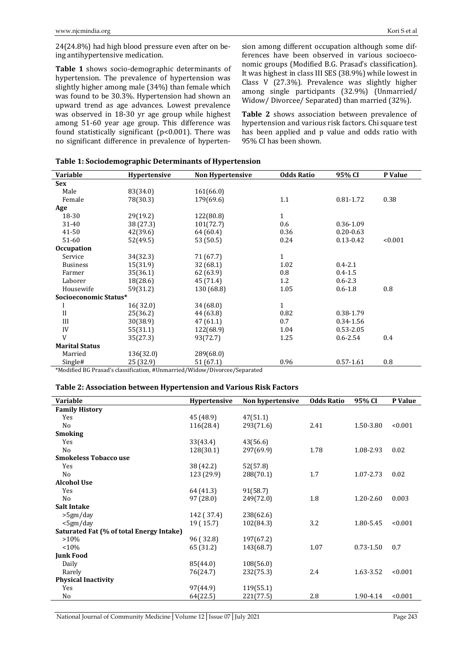24(24.8%) had high blood pressure even after on being antihypertensive medication.

**Table 1** shows socio-demographic determinants of hypertension. The prevalence of hypertension was slightly higher among male (34%) than female which was found to be 30.3%. Hypertension had shown an upward trend as age advances. Lowest prevalence was observed in 18-30 yr age group while highest among 51-60 year age group. This difference was found statistically significant (p<0.001). There was no significant difference in prevalence of hypertension among different occupation although some differences have been observed in various socioeconomic groups (Modified B.G. Prasad's classification). It was highest in class III SES (38.9%) while lowest in Class V (27.3%). Prevalence was slightly higher among single participants (32.9%) (Unmarried/ Widow/ Divorcee/ Separated) than married (32%).

**Table 2** shows association between prevalence of hypertension and various risk factors. Chi square test has been applied and p value and odds ratio with 95% CI has been shown.

| <b>Variable</b>       | Hypertensive | <b>Non Hypertensive</b>                                                     | <b>Odds Ratio</b> | 95% CI        | P Value |  |
|-----------------------|--------------|-----------------------------------------------------------------------------|-------------------|---------------|---------|--|
| <b>Sex</b>            |              |                                                                             |                   |               |         |  |
| Male                  | 83(34.0)     | 161(66.0)                                                                   |                   |               |         |  |
| Female                | 78(30.3)     | 179(69.6)                                                                   | 1.1               | 0.81-1.72     | 0.38    |  |
| Age                   |              |                                                                             |                   |               |         |  |
| 18-30                 | 29(19.2)     | 122(80.8)                                                                   | $\mathbf{1}$      |               |         |  |
| 31-40                 | 38 (27.3)    | 101(72.7)                                                                   | 0.6               | 0.36-1.09     |         |  |
| 41-50                 | 42(39.6)     | 64 (60.4)                                                                   | 0.36              | $0.20 - 0.63$ |         |  |
| 51-60                 | 52(49.5)     | 53 (50.5)                                                                   | 0.24              | $0.13 - 0.42$ | < 0.001 |  |
| <b>Occupation</b>     |              |                                                                             |                   |               |         |  |
| Service               | 34(32.3)     | 71 (67.7)                                                                   | $\mathbf{1}$      |               |         |  |
| <b>Business</b>       | 15(31.9)     | 32(68.1)                                                                    | 1.02              | $0.4 - 2.1$   |         |  |
| Farmer                | 35(36.1)     | 62(63.9)                                                                    | 0.8               | $0.4 - 1.5$   |         |  |
| Laborer               | 18(28.6)     | 45 (71.4)                                                                   | 1.2               | $0.6 - 2.3$   |         |  |
| Housewife             | 59(31.2)     | 130 (68.8)                                                                  | 1.05              | $0.6 - 1.8$   | 0.8     |  |
| Socioeconomic Status* |              |                                                                             |                   |               |         |  |
|                       | 16(32.0)     | 34(68.0)                                                                    | $\mathbf{1}$      |               |         |  |
| $\mathbf{I}$          | 25(36.2)     | 44 (63.8)                                                                   | 0.82              | 0.38-1.79     |         |  |
| III                   | 30(38.9)     | 47(61.1)                                                                    | 0.7               | 0.34-1.56     |         |  |
| IV                    | 55(31.1)     | 122(68.9)                                                                   | 1.04              | $0.53 - 2.05$ |         |  |
| V                     | 35(27.3)     | 93(72.7)                                                                    | 1.25              | $0.6 - 2.54$  | 0.4     |  |
| <b>Marital Status</b> |              |                                                                             |                   |               |         |  |
| Married               | 136(32.0)    | 289(68.0)                                                                   |                   |               |         |  |
| Single#               | 25 (32.9)    | 51 (67.1)                                                                   | 0.96              | $0.57 - 1.61$ | 0.8     |  |
|                       |              | *Modified PC Proced's eleccification #Unmanviod (Widow (Diversee (Conqueted |                   |               |         |  |

|  |  | Table 1: Sociodemographic Determinants of Hypertension |  |  |
|--|--|--------------------------------------------------------|--|--|
|  |  |                                                        |  |  |
|  |  |                                                        |  |  |

\*Modified BG Prasad's classification, #Unmarried/Widow/Divorcee/Separated

#### **Table 2: Association between Hypertension and Various Risk Factors**

| <b>Variable</b>                          | <b>Hypertensive</b> | Non hypertensive | <b>Odds Ratio</b> | 95% CI        | P Value |
|------------------------------------------|---------------------|------------------|-------------------|---------------|---------|
| <b>Family History</b>                    |                     |                  |                   |               |         |
| Yes                                      | 45 (48.9)           | 47(51.1)         |                   |               |         |
| N <sub>o</sub>                           | 116(28.4)           | 293(71.6)        | 2.41              | 1.50-3.80     | < 0.001 |
| <b>Smoking</b>                           |                     |                  |                   |               |         |
| Yes                                      | 33(43.4)            | 43(56.6)         |                   |               |         |
| N <sub>o</sub>                           | 128(30.1)           | 297(69.9)        | 1.78              | 1.08-2.93     | 0.02    |
| <b>Smokeless Tobacco use</b>             |                     |                  |                   |               |         |
| Yes                                      | 38 (42.2)           | 52(57.8)         |                   |               |         |
| N <sub>0</sub>                           | 123 (29.9)          | 288(70.1)        | 1.7               | 1.07-2.73     | 0.02    |
| <b>Alcohol Use</b>                       |                     |                  |                   |               |         |
| Yes                                      | 64 (41.3)           | 91(58.7)         |                   |               |         |
| N <sub>0</sub>                           | 97 (28.0)           | 249(72.0)        | 1.8               | $1.20 - 2.60$ | 0.003   |
| <b>Salt Intake</b>                       |                     |                  |                   |               |         |
| >5gm/day                                 | 142 (37.4)          | 238(62.6)        |                   |               |         |
| $<$ 5gm/day                              | 19 (15.7)           | 102(84.3)        | 3.2               | 1.80-5.45     | < 0.001 |
| Saturated Fat (% of total Energy Intake) |                     |                  |                   |               |         |
| $>10\%$                                  | 96 (32.8)           | 197(67.2)        |                   |               |         |
| < 10%                                    | 65 (31.2)           | 143(68.7)        | 1.07              | $0.73 - 1.50$ | 0.7     |
| <b>Junk Food</b>                         |                     |                  |                   |               |         |
| Daily                                    | 85(44.0)            | 108(56.0)        |                   |               |         |
| Rarely                                   | 76(24.7)            | 232(75.3)        | 2.4               | 1.63-3.52     | < 0.001 |
| <b>Physical Inactivity</b>               |                     |                  |                   |               |         |
| Yes                                      | 97(44.9)            | 119(55.1)        |                   |               |         |
| No                                       | 64(22.5)            | 221(77.5)        | 2.8               | 1.90-4.14     | < 0.001 |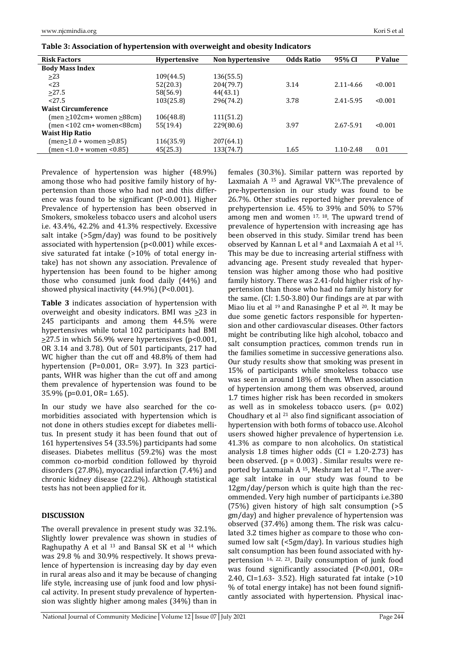| <b>Risk Factors</b>                 | <b>Hypertensive</b> | Non hypertensive | <b>Odds Ratio</b> | 95% CI    | P Value |
|-------------------------------------|---------------------|------------------|-------------------|-----------|---------|
| <b>Body Mass Index</b>              |                     |                  |                   |           |         |
| $\geq$ 23                           | 109(44.5)           | 136(55.5)        |                   |           |         |
| 23                                  | 52(20.3)            | 204(79.7)        | 3.14              | 2.11-4.66 | < 0.001 |
| >27.5                               | 58(56.9)            | 44(43.1)         |                   |           |         |
| 27.5                                | 103(25.8)           | 296(74.2)        | 3.78              | 2.41-5.95 | < 0.001 |
| <b>Waist Circumference</b>          |                     |                  |                   |           |         |
| $(men \ge 102cm$ women $\ge 88cm$ ) | 106(48.8)           | 111(51.2)        |                   |           |         |
| (men <102 cm+ women<88cm)           | 55(19.4)            | 229(80.6)        | 3.97              | 2.67-5.91 | < 0.001 |
| <b>Waist Hip Ratio</b>              |                     |                  |                   |           |         |
| (men>1.0 + women >0.85)             | 116(35.9)           | 207(64.1)        |                   |           |         |
| (men <1.0 + women <0.85)            | 45(25.3)            | 133(74.7)        | 1.65              | 1.10-2.48 | 0.01    |
|                                     |                     |                  |                   |           |         |

**Table 3: Association of hypertension with overweight and obesity Indicators** 

Prevalence of hypertension was higher (48.9%) among those who had positive family history of hypertension than those who had not and this difference was found to be significant (P<0.001). Higher Prevalence of hypertension has been observed in Smokers, smokeless tobacco users and alcohol users i.e. 43.4%, 42.2% and 41.3% respectively. Excessive salt intake (>5gm/day) was found to be positively associated with hypertension (p<0.001) while excessive saturated fat intake (>10% of total energy intake) has not shown any association. Prevalence of hypertension has been found to be higher among those who consumed junk food daily (44%) and showed physical inactivity (44.9%) (P<0.001).

**Table 3** indicates association of hypertension with overweight and obesity indicators. BMI was  $\geq$ 23 in 245 participants and among them 44.5% were hypertensives while total 102 participants had BMI  $\geq$ 27.5 in which 56.9% were hypertensives (p<0.001, OR 3.14 and 3.78). Out of 501 participants, 217 had WC higher than the cut off and 48.8% of them had hypertension (P=0.001, OR= 3.97). In 323 participants, WHR was higher than the cut off and among them prevalence of hypertension was found to be 35.9% (p=0.01, OR= 1.65).

In our study we have also searched for the comorbidities associated with hypertension which is not done in others studies except for diabetes mellitus. In present study it has been found that out of 161 hypertensives 54 (33.5%) participants had some diseases. Diabetes mellitus (59.2%) was the most common co-morbid condition followed by thyroid disorders (27.8%), myocardial infarction (7.4%) and chronic kidney disease (22.2%). Although statistical tests has not been applied for it.

## **DISCUSSION**

The overall prevalence in present study was 32.1%. Slightly lower prevalence was shown in studies of Raghupathy A et al 13 and Bansal SK et al 14 which was 29.8 % and 30.9% respectively. It shows prevalence of hypertension is increasing day by day even in rural areas also and it may be because of changing life style, increasing use of junk food and low physical activity. In present study prevalence of hypertension was slightly higher among males (34%) than in

females (30.3%). Similar pattern was reported by Laxmaiah A  $15$  and Agrawal VK $16$ . The prevalence of pre-hypertension in our study was found to be 26.7%. Other studies reported higher prevalence of prehypertension i.e. 45% to 39% and 50% to 57% among men and women 17, 18. The upward trend of prevalence of hypertension with increasing age has been observed in this study. Similar trend has been observed by Kannan L et al  $8$  and Laxmaiah A et al  $15$ . This may be due to increasing arterial stiffness with advancing age. Present study revealed that hypertension was higher among those who had positive family history. There was 2.41-fold higher risk of hypertension than those who had no family history for the same. (CI: 1.50-3.80) Our findings are at par with Miao liu et al <sup>19</sup> and Ranasinghe P et al <sup>20</sup>. It may be due some genetic factors responsible for hypertension and other cardiovascular diseases. Other factors might be contributing like high alcohol, tobacco and salt consumption practices, common trends run in the families sometime in successive generations also. Our study results show that smoking was present in 15% of participants while smokeless tobacco use was seen in around 18% of them. When association of hypertension among them was observed, around 1.7 times higher risk has been recorded in smokers as well as in smokeless tobacco users. (p= 0.02) Choudhary et al  $21$  also find significant association of hypertension with both forms of tobacco use. Alcohol users showed higher prevalence of hypertension i.e. 41.3% as compare to non alcoholics. On statistical analysis 1.8 times higher odds  $(Cl = 1.20-2.73)$  has been observed.  $(p = 0.003)$ . Similar results were reported by Laxmaiah A 15, Meshram Iet al 17. The average salt intake in our study was found to be 12gm/day/person which is quite high than the recommended. Very high number of participants i.e.380 (75%) given history of high salt consumption (>5 gm/day) and higher prevalence of hypertension was observed (37.4%) among them. The risk was calculated 3.2 times higher as compare to those who consumed low salt (<5gm/day). In various studies high salt consumption has been found associated with hypertension <sup>16, 22, 23</sup>. Daily consumption of junk food was found significantly associated (P<0.001, OR= 2.40, CI=1.63- 3.52). High saturated fat intake (>10 % of total energy intake) has not been found significantly associated with hypertension. Physical inac